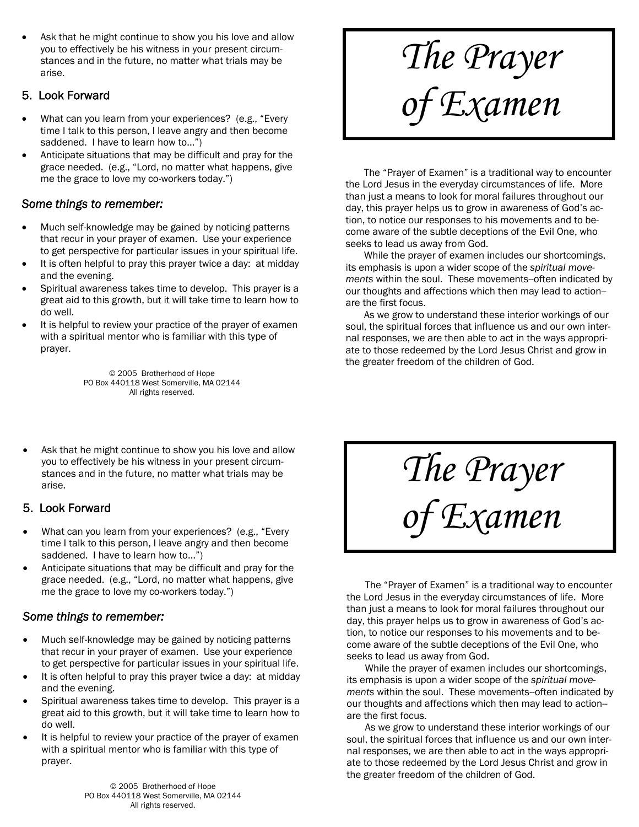Ask that he might continue to show you his love and allow you to effectively be his witness in your present circumstances and in the future, no matter what trials may be arise.

#### 5. Look Forward

- What can you learn from your experiences? (e.g., "Every time I talk to this person, I leave angry and then become saddened. I have to learn how to...")
- Anticipate situations that may be difficult and pray for the grace needed. (e.g., "Lord, no matter what happens, give me the grace to love my co-workers today.")

#### *Some things to remember:*

- Much self-knowledge may be gained by noticing patterns that recur in your prayer of examen. Use your experience to get perspective for particular issues in your spiritual life.
- It is often helpful to pray this prayer twice a day: at midday and the evening.
- Spiritual awareness takes time to develop. This prayer is a great aid to this growth, but it will take time to learn how to do well.
- It is helpful to review your practice of the prayer of examen with a spiritual mentor who is familiar with this type of prayer.

© 2005 Brotherhood of Hope PO Box 440118 West Somerville, MA 02144 All rights reserved.

Ask that he might continue to show you his love and allow you to effectively be his witness in your present circumstances and in the future, no matter what trials may be arise.

# 5. Look Forward

- What can you learn from your experiences? (e.g., "Every" time I talk to this person, I leave angry and then become saddened. I have to learn how to...")
- Anticipate situations that may be difficult and pray for the grace needed. (e.g., "Lord, no matter what happens, give me the grace to love my co-workers today.")

#### *Some things to remember:*

- Much self-knowledge may be gained by noticing patterns that recur in your prayer of examen. Use your experience to get perspective for particular issues in your spiritual life.
- It is often helpful to pray this prayer twice a day: at midday and the evening.
- Spiritual awareness takes time to develop. This prayer is a great aid to this growth, but it will take time to learn how to do well.
- It is helpful to review your practice of the prayer of examen with a spiritual mentor who is familiar with this type of prayer.

*The Prayer of Examen* 

 The "Prayer of Examen" is a traditional way to encounter the Lord Jesus in the everyday circumstances of life. More than just a means to look for moral failures throughout our day, this prayer helps us to grow in awareness of God's action, to notice our responses to his movements and to become aware of the subtle deceptions of the Evil One, who seeks to lead us away from God.

 While the prayer of examen includes our shortcomings, its emphasis is upon a wider scope of the *spiritual movements* within the soul. These movements--often indicated by our thoughts and affections which then may lead to action- are the first focus.

 As we grow to understand these interior workings of our soul, the spiritual forces that influence us and our own internal responses, we are then able to act in the ways appropriate to those redeemed by the Lord Jesus Christ and grow in the greater freedom of the children of God.

*The Prayer* 

*of Examen* 

 The "Prayer of Examen" is a traditional way to encounter the Lord Jesus in the everyday circumstances of life. More than just a means to look for moral failures throughout our day, this prayer helps us to grow in awareness of God's action, to notice our responses to his movements and to become aware of the subtle deceptions of the Evil One, who seeks to lead us away from God.

 While the prayer of examen includes our shortcomings, its emphasis is upon a wider scope of the *spiritual movements* within the soul. These movements--often indicated by our thoughts and affections which then may lead to action- are the first focus.

 As we grow to understand these interior workings of our soul, the spiritual forces that influence us and our own internal responses, we are then able to act in the ways appropriate to those redeemed by the Lord Jesus Christ and grow in the greater freedom of the children of God.